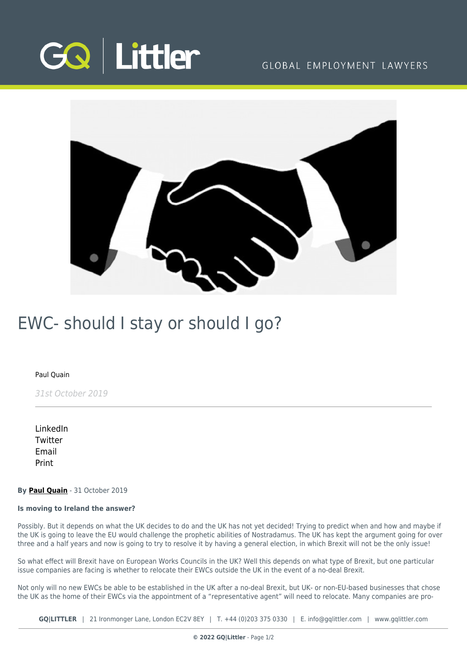

### GLOBAL EMPLOYMENT LAWYERS



## EWC- should I stay or should I go?

#### [Paul Quain](https://www.gqlittler.com/about-us/the-team/paul-quain)

31st October 2019

[LinkedIn](https://www.linkedin.com/shareArticle?mini=true&url=https%3A%2F%2Fwww.gqlittler.com%2Fresources%2Fnews-and-views%2Fewc-should-i-stay-or-should-i-go.htm%3Funlock%3Dtrue&title=EWC-+should+I+stay+or+should+I+go%3F&summary=Is+moving+to+Ireland+the+answer%3F+Possibly.+But+it+depends+on+what+the+UK+decides+to+do+and+the+UK+has+not+yet+decided%21+Trying+to+predict+when+and+how+and+maybe+if+the+UK+is+going+to+leave+the+EU+would+challenge+the+prophetic+abilities+of+Nostradamus.&source=GQ+%7C+Littler) **[Twitter](https://twitter.com/share?text=EWC-+should+I+stay+or+should+I+go%3F&url=https%3A%2F%2Fwww.gqlittler.com%2Fresources%2Fnews-and-views%2Fewc-should-i-stay-or-should-i-go.htm&hashtags=)** [Email](mailto:?subject=EWC- should I stay or should I go?&body=I) [Print](https://www.bg-pdf.co.uk/_GQ/page.php?M=6148523063484d364c793933643363755a33467361585230624756794c6d4e76625339795a584e7664584a6a5a584d76626d563363793168626d5174646d6c6c64334d765a58646a4c584e6f623356735a4331704c584e3059586b7462334974633268766457786b4c576b745a323875614852744930416a525664444c53427a61473931624751675353427a644746354947397949484e6f623356735a43424a4947647650794e41493256335979317a61473931624751746153317a644746354c5739794c584e6f623356735a4331704c576476)

#### **By [Paul Quain](https://www.gqlittler.com/about-us/the-team/paul-quain)** - 31 October 2019

#### **Is moving to Ireland the answer?**

Possibly. But it depends on what the UK decides to do and the UK has not yet decided! Trying to predict when and how and maybe if the UK is going to leave the EU would challenge the prophetic abilities of Nostradamus. The UK has kept the argument going for over three and a half years and now is going to try to resolve it by having a general election, in which Brexit will not be the only issue!

So what effect will Brexit have on European Works Councils in the UK? Well this depends on what type of Brexit, but one particular issue companies are facing is whether to relocate their EWCs outside the UK in the event of a no-deal Brexit.

Not only will no new EWCs be able to be established in the UK after a no-deal Brexit, but UK- or non-EU-based businesses that chose the UK as the home of their EWCs via the appointment of a "representative agent" will need to relocate. Many companies are pro-

**GQ|LITTLER** | 21 Ironmonger Lane, London EC2V 8EY | T. [+44 \(0\)203 375 0330](https://www.bg-pdf.co.uk/_GQ/tel:+442033750330) | E. [info@gqlittler.com](mailto:info@gqlittler.com) | [www.gqlittler.com](https://www.gqlittler.com)